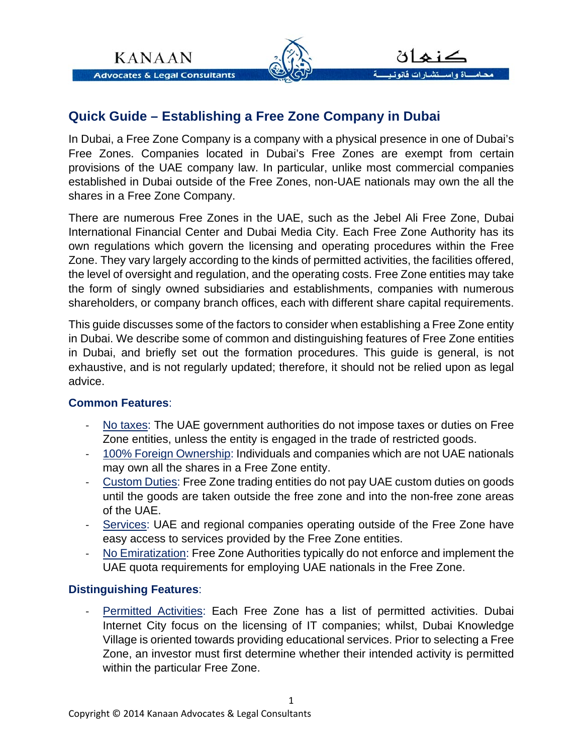

## **Quick Guide – Establishing a Free Zone Company in Dubai**

In Dubai, a Free Zone Company is a company with a physical presence in one of Dubai's Free Zones. Companies located in Dubai's Free Zones are exempt from certain provisions of the UAE company law. In particular, unlike most commercial companies established in Dubai outside of the Free Zones, non-UAE nationals may own the all the shares in a Free Zone Company.

There are numerous Free Zones in the UAE, such as the Jebel Ali Free Zone, Dubai International Financial Center and Dubai Media City. Each Free Zone Authority has its own regulations which govern the licensing and operating procedures within the Free Zone. They vary largely according to the kinds of permitted activities, the facilities offered, the level of oversight and regulation, and the operating costs. Free Zone entities may take the form of singly owned subsidiaries and establishments, companies with numerous shareholders, or company branch offices, each with different share capital requirements.

This guide discusses some of the factors to consider when establishing a Free Zone entity in Dubai. We describe some of common and distinguishing features of Free Zone entities in Dubai, and briefly set out the formation procedures. This guide is general, is not exhaustive, and is not regularly updated; therefore, it should not be relied upon as legal advice.

## **Common Features**:

- ‐ No taxes: The UAE government authorities do not impose taxes or duties on Free Zone entities, unless the entity is engaged in the trade of restricted goods.
- ‐ 100% Foreign Ownership: Individuals and companies which are not UAE nationals may own all the shares in a Free Zone entity.
- ‐ Custom Duties: Free Zone trading entities do not pay UAE custom duties on goods until the goods are taken outside the free zone and into the non-free zone areas of the UAE.
- ‐ Services: UAE and regional companies operating outside of the Free Zone have easy access to services provided by the Free Zone entities.
- No Emiratization: Free Zone Authorities typically do not enforce and implement the UAE quota requirements for employing UAE nationals in the Free Zone.

## **Distinguishing Features**:

‐ Permitted Activities: Each Free Zone has a list of permitted activities. Dubai Internet City focus on the licensing of IT companies; whilst, Dubai Knowledge Village is oriented towards providing educational services. Prior to selecting a Free Zone, an investor must first determine whether their intended activity is permitted within the particular Free Zone.

1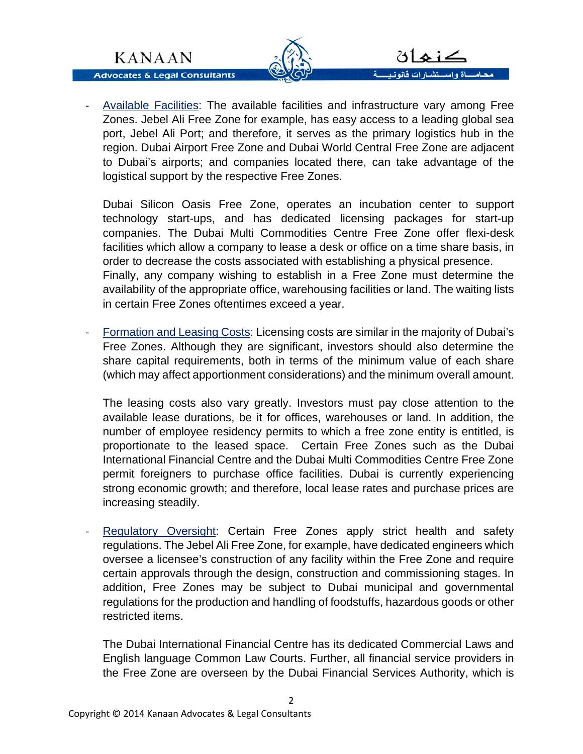**KANAAN** 

**Advocates & Legal Consultants** 



- لتشبارات فانونيسية محاماة واس
- ‐ Available Facilities: The available facilities and infrastructure vary among Free Zones. Jebel Ali Free Zone for example, has easy access to a leading global sea port, Jebel Ali Port; and therefore, it serves as the primary logistics hub in the region. Dubai Airport Free Zone and Dubai World Central Free Zone are adjacent to Dubai's airports; and companies located there, can take advantage of the logistical support by the respective Free Zones.

Dubai Silicon Oasis Free Zone, operates an incubation center to support technology start-ups, and has dedicated licensing packages for start-up companies. The Dubai Multi Commodities Centre Free Zone offer flexi-desk facilities which allow a company to lease a desk or office on a time share basis, in order to decrease the costs associated with establishing a physical presence. Finally, any company wishing to establish in a Free Zone must determine the availability of the appropriate office, warehousing facilities or land. The waiting lists in certain Free Zones oftentimes exceed a year.

‐ Formation and Leasing Costs: Licensing costs are similar in the majority of Dubai's Free Zones. Although they are significant, investors should also determine the share capital requirements, both in terms of the minimum value of each share (which may affect apportionment considerations) and the minimum overall amount.

The leasing costs also vary greatly. Investors must pay close attention to the available lease durations, be it for offices, warehouses or land. In addition, the number of employee residency permits to which a free zone entity is entitled, is proportionate to the leased space. Certain Free Zones such as the Dubai International Financial Centre and the Dubai Multi Commodities Centre Free Zone permit foreigners to purchase office facilities. Dubai is currently experiencing strong economic growth; and therefore, local lease rates and purchase prices are increasing steadily.

Regulatory Oversight: Certain Free Zones apply strict health and safety regulations. The Jebel Ali Free Zone, for example, have dedicated engineers which oversee a licensee's construction of any facility within the Free Zone and require certain approvals through the design, construction and commissioning stages. In addition, Free Zones may be subject to Dubai municipal and governmental regulations for the production and handling of foodstuffs, hazardous goods or other restricted items.

The Dubai International Financial Centre has its dedicated Commercial Laws and English language Common Law Courts. Further, all financial service providers in the Free Zone are overseen by the Dubai Financial Services Authority, which is